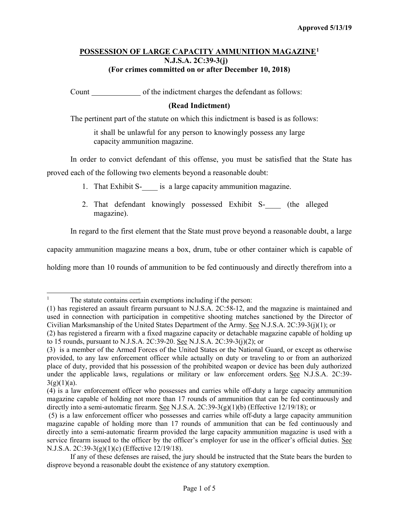## **POSSESSION OF LARGE CAPACITY AMMUNITION MAGAZINE[1](#page-0-0) N.J.S.A. 2C:39-3(j) (For crimes committed on or after December 10, 2018)**

Count of the indictment charges the defendant as follows:

## **(Read Indictment)**

The pertinent part of the statute on which this indictment is based is as follows:

it shall be unlawful for any person to knowingly possess any large capacity ammunition magazine.

In order to convict defendant of this offense, you must be satisfied that the State has proved each of the following two elements beyond a reasonable doubt:

- 1. That Exhibit S- is a large capacity ammunition magazine.
- 2. That defendant knowingly possessed Exhibit S- (the alleged magazine).

In regard to the first element that the State must prove beyond a reasonable doubt, a large

capacity ammunition magazine means a box, drum, tube or other container which is capable of

holding more than 10 rounds of ammunition to be fed continuously and directly therefrom into a

<span id="page-0-0"></span><sup>&</sup>lt;sup>1</sup> The statute contains certain exemptions including if the person:

<sup>(1)</sup> has registered an assault firearm pursuant to N.J.S.A. 2C:58-12, and the magazine is maintained and used in connection with participation in competitive shooting matches sanctioned by the Director of Civilian Marksmanship of the United States Department of the Army. See N.J.S.A. 2C:39-3(j)(1); or

<sup>(2)</sup> has registered a firearm with a fixed magazine capacity or detachable magazine capable of holding up to 15 rounds, pursuant to N.J.S.A. 2C:39-20. See N.J.S.A. 2C:39-3(j)(2); or

<sup>(3)</sup> is a member of the Armed Forces of the United States or the National Guard, or except as otherwise provided, to any law enforcement officer while actually on duty or traveling to or from an authorized place of duty, provided that his possession of the prohibited weapon or device has been duly authorized under the applicable laws, regulations or military or law enforcement orders. See N.J.S.A. 2C:39-  $3(g)(1)(a)$ .

<sup>(4)</sup> is a law enforcement officer who possesses and carries while off-duty a large capacity ammunition magazine capable of holding not more than 17 rounds of ammunition that can be fed continuously and directly into a semi-automatic firearm. See N.J.S.A.  $2C:39-3(g)(1)(b)$  (Effective 12/19/18); or

<sup>(5)</sup> is a law enforcement officer who possesses and carries while off-duty a large capacity ammunition magazine capable of holding more than 17 rounds of ammunition that can be fed continuously and directly into a semi-automatic firearm provided the large capacity ammunition magazine is used with a service firearm issued to the officer by the officer's employer for use in the officer's official duties. See N.J.S.A. 2C:39-3(g)(1)(c) (Effective 12/19/18).

If any of these defenses are raised, the jury should be instructed that the State bears the burden to disprove beyond a reasonable doubt the existence of any statutory exemption.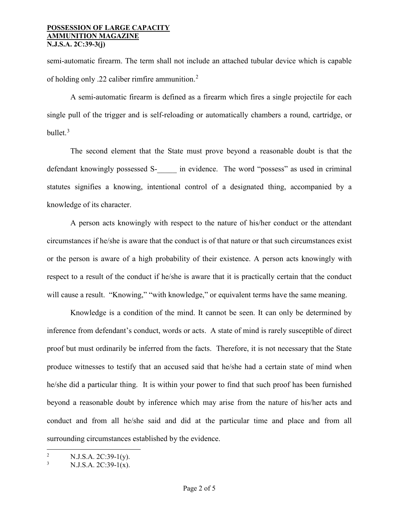semi-automatic firearm. The term shall not include an attached tubular device which is capable of holding only .22 caliber rimfire ammunition.[2](#page-1-0)

A semi-automatic firearm is defined as a firearm which fires a single projectile for each single pull of the trigger and is self-reloading or automatically chambers a round, cartridge, or bullet. $3$ 

The second element that the State must prove beyond a reasonable doubt is that the defendant knowingly possessed S- \_\_\_\_\_ in evidence. The word "possess" as used in criminal statutes signifies a knowing, intentional control of a designated thing, accompanied by a knowledge of its character.

A person acts knowingly with respect to the nature of his/her conduct or the attendant circumstances if he/she is aware that the conduct is of that nature or that such circumstances exist or the person is aware of a high probability of their existence. A person acts knowingly with respect to a result of the conduct if he/she is aware that it is practically certain that the conduct will cause a result. "Knowing," "with knowledge," or equivalent terms have the same meaning.

Knowledge is a condition of the mind. It cannot be seen. It can only be determined by inference from defendant's conduct, words or acts. A state of mind is rarely susceptible of direct proof but must ordinarily be inferred from the facts. Therefore, it is not necessary that the State produce witnesses to testify that an accused said that he/she had a certain state of mind when he/she did a particular thing. It is within your power to find that such proof has been furnished beyond a reasonable doubt by inference which may arise from the nature of his/her acts and conduct and from all he/she said and did at the particular time and place and from all surrounding circumstances established by the evidence.

<span id="page-1-0"></span><sup>&</sup>lt;sup>2</sup> N.J.S.A. 2C:39-1(y).

<span id="page-1-1"></span>N.J.S.A. 2C:39-1(x).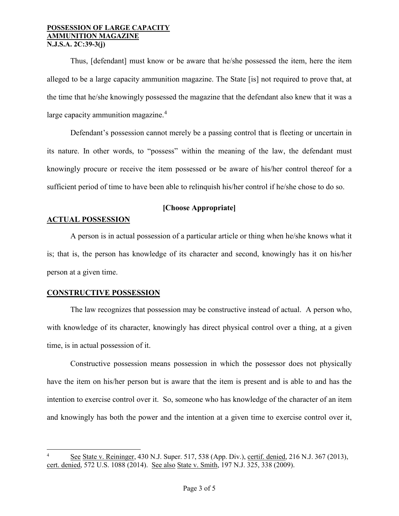Thus, [defendant] must know or be aware that he/she possessed the item, here the item alleged to be a large capacity ammunition magazine. The State [is] not required to prove that, at the time that he/she knowingly possessed the magazine that the defendant also knew that it was a large capacity ammunition magazine.<sup>[4](#page-2-0)</sup>

Defendant's possession cannot merely be a passing control that is fleeting or uncertain in its nature. In other words, to "possess" within the meaning of the law, the defendant must knowingly procure or receive the item possessed or be aware of his/her control thereof for a sufficient period of time to have been able to relinquish his/her control if he/she chose to do so.

# **[Choose Appropriate]**

# **ACTUAL POSSESSION**

A person is in actual possession of a particular article or thing when he/she knows what it is; that is, the person has knowledge of its character and second, knowingly has it on his/her person at a given time.

## **CONSTRUCTIVE POSSESSION**

The law recognizes that possession may be constructive instead of actual. A person who, with knowledge of its character, knowingly has direct physical control over a thing, at a given time, is in actual possession of it.

Constructive possession means possession in which the possessor does not physically have the item on his/her person but is aware that the item is present and is able to and has the intention to exercise control over it. So, someone who has knowledge of the character of an item and knowingly has both the power and the intention at a given time to exercise control over it,

<span id="page-2-0"></span>See State v. Reininger, 430 N.J. Super. 517, 538 (App. Div.), certif. denied, 216 N.J. 367 (2013), cert. denied, 572 U.S. 1088 (2014). See also State v. Smith, 197 N.J. 325, 338 (2009).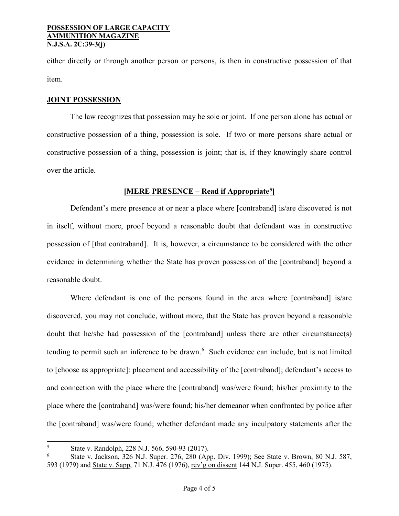either directly or through another person or persons, is then in constructive possession of that item.

## **JOINT POSSESSION**

The law recognizes that possession may be sole or joint. If one person alone has actual or constructive possession of a thing, possession is sole. If two or more persons share actual or constructive possession of a thing, possession is joint; that is, if they knowingly share control over the article.

# **[MERE PRESENCE – Read if Appropriate[5\]](#page-3-0)**

Defendant's mere presence at or near a place where [contraband] is/are discovered is not in itself, without more, proof beyond a reasonable doubt that defendant was in constructive possession of [that contraband]. It is, however, a circumstance to be considered with the other evidence in determining whether the State has proven possession of the [contraband] beyond a reasonable doubt.

Where defendant is one of the persons found in the area where [contraband] is/are discovered, you may not conclude, without more, that the State has proven beyond a reasonable doubt that he/she had possession of the [contraband] unless there are other circumstance(s) tending to permit such an inference to be drawn.<sup>[6](#page-3-1)</sup> Such evidence can include, but is not limited to [choose as appropriate]: placement and accessibility of the [contraband]; defendant's access to and connection with the place where the [contraband] was/were found; his/her proximity to the place where the [contraband] was/were found; his/her demeanor when confronted by police after the [contraband] was/were found; whether defendant made any inculpatory statements after the

 <sup>5</sup> <sup>5</sup> State v. Randolph, 228 N.J. 566, 590-93 (2017).

<span id="page-3-1"></span><span id="page-3-0"></span><sup>6</sup> State v. Jackson, 326 N.J. Super. 276, 280 (App. Div. 1999); See State v. Brown, 80 N.J. 587, 593 (1979) and State v. Sapp, 71 N.J. 476 (1976), rev'g on dissent 144 N.J. Super. 455, 460 (1975).